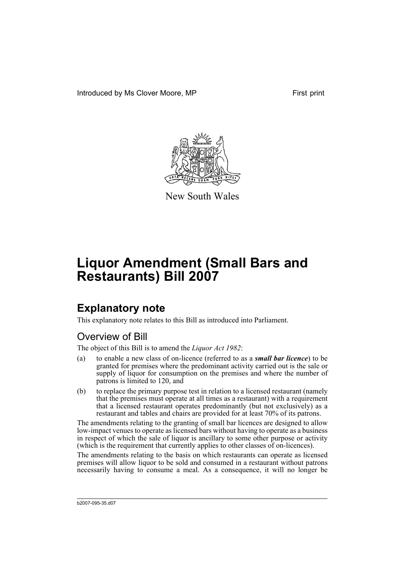Introduced by Ms Clover Moore, MP First print



New South Wales

# **Liquor Amendment (Small Bars and Restaurants) Bill 2007**

# **Explanatory note**

This explanatory note relates to this Bill as introduced into Parliament.

# Overview of Bill

The object of this Bill is to amend the *Liquor Act 1982*:

- (a) to enable a new class of on-licence (referred to as a *small bar licence*) to be granted for premises where the predominant activity carried out is the sale or supply of liquor for consumption on the premises and where the number of patrons is limited to 120, and
- (b) to replace the primary purpose test in relation to a licensed restaurant (namely that the premises must operate at all times as a restaurant) with a requirement that a licensed restaurant operates predominantly (but not exclusively) as a restaurant and tables and chairs are provided for at least 70% of its patrons.

The amendments relating to the granting of small bar licences are designed to allow low-impact venues to operate as licensed bars without having to operate as a business in respect of which the sale of liquor is ancillary to some other purpose or activity (which is the requirement that currently applies to other classes of on-licences).

The amendments relating to the basis on which restaurants can operate as licensed premises will allow liquor to be sold and consumed in a restaurant without patrons necessarily having to consume a meal. As a consequence, it will no longer be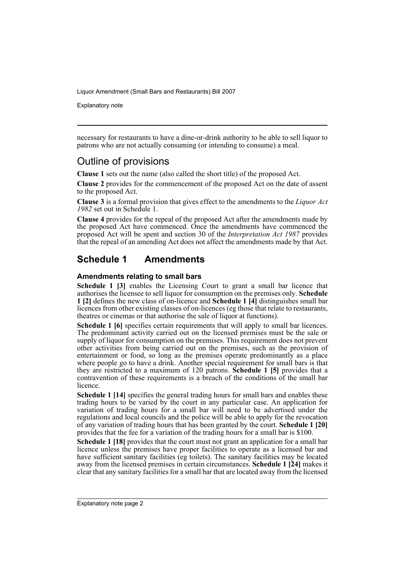Explanatory note

necessary for restaurants to have a dine-or-drink authority to be able to sell liquor to patrons who are not actually consuming (or intending to consume) a meal.

## Outline of provisions

**Clause 1** sets out the name (also called the short title) of the proposed Act.

**Clause 2** provides for the commencement of the proposed Act on the date of assent to the proposed Act.

**Clause 3** is a formal provision that gives effect to the amendments to the *Liquor Act 1982* set out in Schedule 1.

**Clause 4** provides for the repeal of the proposed Act after the amendments made by the proposed Act have commenced. Once the amendments have commenced the proposed Act will be spent and section 30 of the *Interpretation Act 1987* provides that the repeal of an amending Act does not affect the amendments made by that Act.

## **Schedule 1 Amendments**

#### **Amendments relating to small bars**

**Schedule 1 [3]** enables the Licensing Court to grant a small bar licence that authorises the licensee to sell liquor for consumption on the premises only. **Schedule 1 [2]** defines the new class of on-licence and **Schedule 1 [4]** distinguishes small bar licences from other existing classes of on-licences (eg those that relate to restaurants, theatres or cinemas or that authorise the sale of liquor at functions).

**Schedule 1 [6]** specifies certain requirements that will apply to small bar licences. The predominant activity carried out on the licensed premises must be the sale or supply of liquor for consumption on the premises. This requirement does not prevent other activities from being carried out on the premises, such as the provision of entertainment or food, so long as the premises operate predominantly as a place where people go to have a drink. Another special requirement for small bars is that they are restricted to a maximum of 120 patrons. **Schedule 1 [5]** provides that a contravention of these requirements is a breach of the conditions of the small bar licence.

**Schedule 1 [14]** specifies the general trading hours for small bars and enables these trading hours to be varied by the court in any particular case. An application for variation of trading hours for a small bar will need to be advertised under the regulations and local councils and the police will be able to apply for the revocation of any variation of trading hours that has been granted by the court. **Schedule 1 [20]** provides that the fee for a variation of the trading hours for a small bar is \$100.

**Schedule 1 [18]** provides that the court must not grant an application for a small bar licence unless the premises have proper facilities to operate as a licensed bar and have sufficient sanitary facilities (eg toilets). The sanitary facilities may be located away from the licensed premises in certain circumstances. **Schedule 1 [24]** makes it clear that any sanitary facilities for a small bar that are located away from the licensed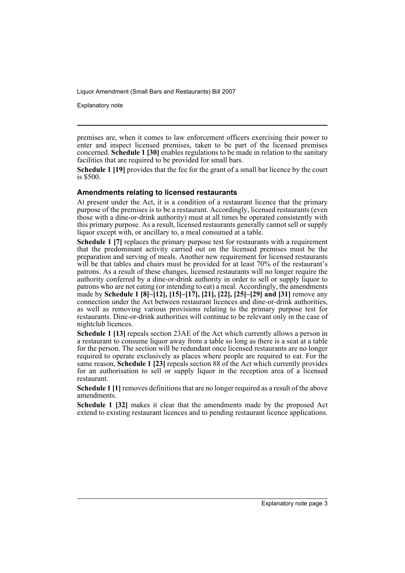Explanatory note

premises are, when it comes to law enforcement officers exercising their power to enter and inspect licensed premises, taken to be part of the licensed premises concerned. **Schedule 1 [30]** enables regulations to be made in relation to the sanitary facilities that are required to be provided for small bars.

**Schedule 1 [19]** provides that the fee for the grant of a small bar licence by the court is \$500.

#### **Amendments relating to licensed restaurants**

At present under the Act, it is a condition of a restaurant licence that the primary purpose of the premises is to be a restaurant. Accordingly, licensed restaurants (even those with a dine-or-drink authority) must at all times be operated consistently with this primary purpose. As a result, licensed restaurants generally cannot sell or supply liquor except with, or ancillary to, a meal consumed at a table.

**Schedule 1 [7]** replaces the primary purpose test for restaurants with a requirement that the predominant activity carried out on the licensed premises must be the preparation and serving of meals. Another new requirement for licensed restaurants will be that tables and chairs must be provided for at least 70% of the restaurant's patrons. As a result of these changes, licensed restaurants will no longer require the authority conferred by a dine-or-drink authority in order to sell or supply liquor to patrons who are not eating (or intending to eat) a meal. Accordingly, the amendments made by **Schedule 1 [8]–[12], [15]–[17], [21], [22], [25]–[29] and [31]** remove any connection under the Act between restaurant licences and dine-or-drink authorities, as well as removing various provisions relating to the primary purpose test for restaurants. Dine-or-drink authorities will continue to be relevant only in the case of nightclub licences.

**Schedule 1 [13]** repeals section 23AE of the Act which currently allows a person in a restaurant to consume liquor away from a table so long as there is a seat at a table for the person. The section will be redundant once licensed restaurants are no longer required to operate exclusively as places where people are required to eat. For the same reason, **Schedule 1 [23]** repeals section 88 of the Act which currently provides for an authorisation to sell or supply liquor in the reception area of a licensed restaurant.

**Schedule 1 [1]** removes definitions that are no longer required as a result of the above amendments.

**Schedule 1 [32]** makes it clear that the amendments made by the proposed Act extend to existing restaurant licences and to pending restaurant licence applications.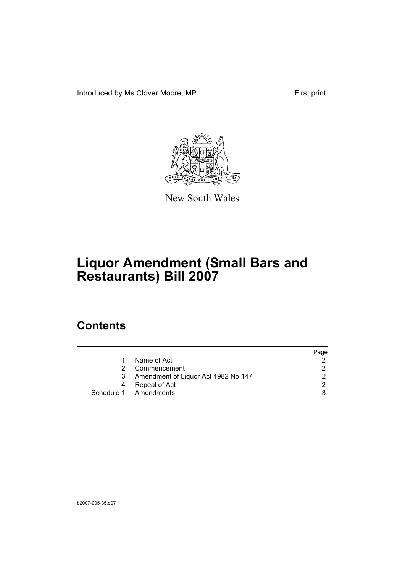Introduced by Ms Clover Moore, MP First print



New South Wales

# **Liquor Amendment (Small Bars and Restaurants) Bill 2007**

# **Contents**

|   |                                     | Page |
|---|-------------------------------------|------|
|   | Name of Act                         |      |
| 2 | Commencement                        |      |
| 3 | Amendment of Liquor Act 1982 No 147 | າ    |
| 4 | Repeal of Act                       | ◠    |
|   | Schedule 1 Amendments               |      |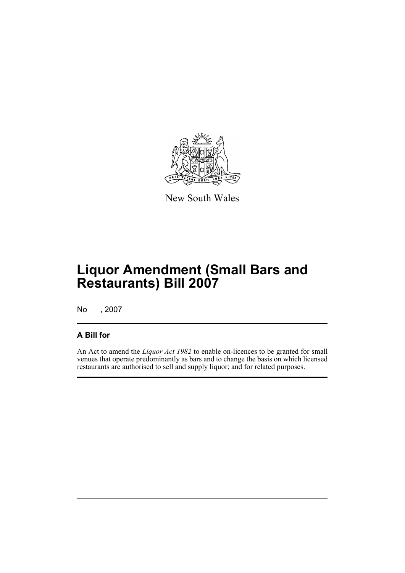

New South Wales

# **Liquor Amendment (Small Bars and Restaurants) Bill 2007**

No , 2007

### **A Bill for**

An Act to amend the *Liquor Act 1982* to enable on-licences to be granted for small venues that operate predominantly as bars and to change the basis on which licensed restaurants are authorised to sell and supply liquor; and for related purposes.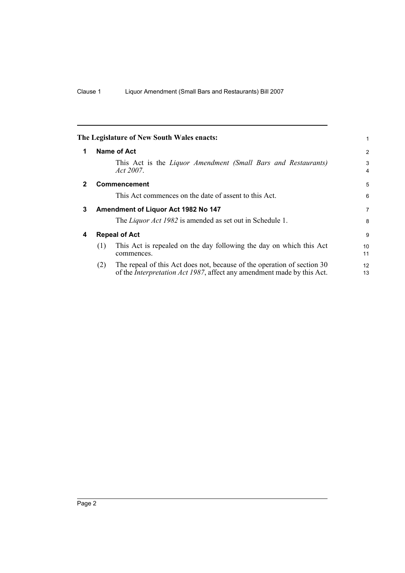<span id="page-7-3"></span><span id="page-7-2"></span><span id="page-7-1"></span><span id="page-7-0"></span>

|              |     | The Legislature of New South Wales enacts:                                                                                                                | 1        |
|--------------|-----|-----------------------------------------------------------------------------------------------------------------------------------------------------------|----------|
| 1            |     | Name of Act                                                                                                                                               | 2        |
|              |     | This Act is the Liquor Amendment (Small Bars and Restaurants)<br>Act 2007.                                                                                | 3<br>4   |
| $\mathbf{2}$ |     | <b>Commencement</b>                                                                                                                                       | 5        |
|              |     | This Act commences on the date of assent to this Act.                                                                                                     | 6        |
| 3            |     | Amendment of Liquor Act 1982 No 147                                                                                                                       | 7        |
|              |     | The <i>Liquor Act 1982</i> is amended as set out in Schedule 1.                                                                                           | 8        |
| 4            |     | <b>Repeal of Act</b>                                                                                                                                      | 9        |
|              | (1) | This Act is repealed on the day following the day on which this Act<br>commences.                                                                         | 10<br>11 |
|              | (2) | The repeal of this Act does not, because of the operation of section 30<br>of the <i>Interpretation Act 1987</i> , affect any amendment made by this Act. | 12<br>13 |
|              |     |                                                                                                                                                           |          |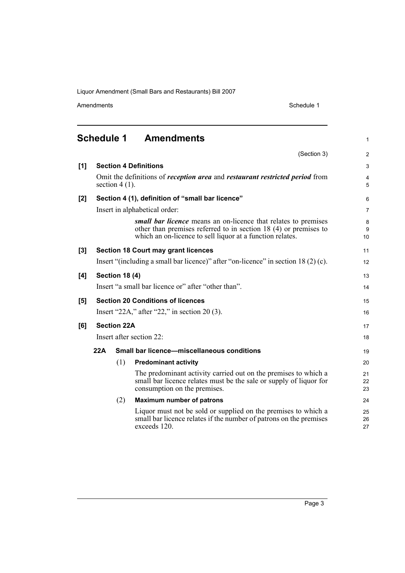exceeds 120.

Amendments Schedule 1

1

11 12

13 14

15 16

17 18

<span id="page-8-0"></span>

|       | Schedule 1 |                       | <b>Amendments</b>                                                                                                                                                                                |
|-------|------------|-----------------------|--------------------------------------------------------------------------------------------------------------------------------------------------------------------------------------------------|
|       |            |                       | (Section 3)                                                                                                                                                                                      |
| [1]   |            |                       | <b>Section 4 Definitions</b>                                                                                                                                                                     |
|       |            | section $4(1)$ .      | Omit the definitions of <i>reception area</i> and <i>restaurant restricted period</i> from                                                                                                       |
| [2]   |            |                       | Section 4 (1), definition of "small bar licence"                                                                                                                                                 |
|       |            |                       | Insert in alphabetical order:                                                                                                                                                                    |
|       |            |                       | small bar licence means an on-licence that relates to premises<br>other than premises referred to in section $18(4)$ or premises to<br>which an on-licence to sell liquor at a function relates. |
| $[3]$ |            |                       | <b>Section 18 Court may grant licences</b>                                                                                                                                                       |
|       |            |                       | Insert "(including a small bar licence)" after "on-licence" in section $18(2)$ (c).                                                                                                              |
| [4]   |            | <b>Section 18 (4)</b> |                                                                                                                                                                                                  |
|       |            |                       | Insert "a small bar licence or" after "other than".                                                                                                                                              |
| [5]   |            |                       | <b>Section 20 Conditions of licences</b>                                                                                                                                                         |
|       |            |                       | Insert "22A," after "22," in section 20 $(3)$ .                                                                                                                                                  |
| [6]   |            | <b>Section 22A</b>    |                                                                                                                                                                                                  |
|       |            |                       | Insert after section 22:                                                                                                                                                                         |
|       | 22A        |                       | <b>Small bar licence-miscellaneous conditions</b>                                                                                                                                                |
|       |            | (1)                   | <b>Predominant activity</b>                                                                                                                                                                      |
|       |            |                       | The predominant activity carried out on the premises to which a<br>small bar licence relates must be the sale or supply of liquor for<br>consumption on the premises.                            |
|       |            | (2)                   | <b>Maximum number of patrons</b>                                                                                                                                                                 |
|       |            |                       | Liquor must not be sold or supplied on the premises to which a<br>small bar licence relates if the number of patrons on the premises                                                             |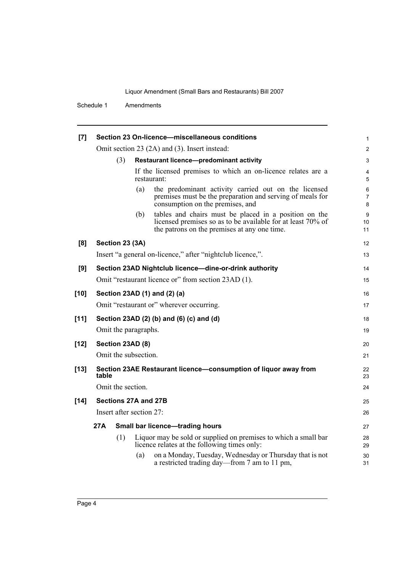Schedule 1 Amendments

| [7]    |       |                          |     | Section 23 On-licence-miscellaneous conditions                                                                                                                       | 1                        |
|--------|-------|--------------------------|-----|----------------------------------------------------------------------------------------------------------------------------------------------------------------------|--------------------------|
|        |       |                          |     | Omit section 23 (2A) and (3). Insert instead:                                                                                                                        | $\overline{2}$           |
|        |       | (3)                      |     | Restaurant licence-predominant activity                                                                                                                              | 3                        |
|        |       |                          |     | If the licensed premises to which an on-licence relates are a<br>restaurant:                                                                                         | 4<br>5                   |
|        |       |                          | (a) | the predominant activity carried out on the licensed<br>premises must be the preparation and serving of meals for<br>consumption on the premises, and                | 6<br>$\overline{7}$<br>8 |
|        |       |                          | (b) | tables and chairs must be placed in a position on the<br>licensed premises so as to be available for at least 70% of<br>the patrons on the premises at any one time. | 9<br>10<br>11            |
| [8]    |       | Section 23 (3A)          |     |                                                                                                                                                                      | 12                       |
|        |       |                          |     | Insert "a general on-licence," after "nightclub licence,".                                                                                                           | 13                       |
| [9]    |       |                          |     | Section 23AD Nightclub licence-dine-or-drink authority                                                                                                               | 14                       |
|        |       |                          |     | Omit "restaurant licence or" from section 23AD (1).                                                                                                                  | 15                       |
| $[10]$ |       |                          |     | Section 23AD (1) and (2) (a)                                                                                                                                         | 16                       |
|        |       |                          |     | Omit "restaurant or" wherever occurring.                                                                                                                             | 17                       |
| $[11]$ |       |                          |     | Section 23AD (2) (b) and (6) (c) and (d)                                                                                                                             | 18                       |
|        |       | Omit the paragraphs.     |     |                                                                                                                                                                      | 19                       |
| $[12]$ |       | Section 23AD (8)         |     |                                                                                                                                                                      | 20                       |
|        |       | Omit the subsection.     |     |                                                                                                                                                                      | 21                       |
| $[13]$ | table |                          |     | Section 23AE Restaurant licence-consumption of liquor away from                                                                                                      | 22<br>23                 |
|        |       | Omit the section.        |     |                                                                                                                                                                      | 24                       |
| $[14]$ |       | Sections 27A and 27B     |     |                                                                                                                                                                      | 25                       |
|        |       | Insert after section 27: |     |                                                                                                                                                                      | 26                       |
|        | 27A   |                          |     | <b>Small bar licence-trading hours</b>                                                                                                                               | 27                       |
|        |       | (1)                      |     | Liquor may be sold or supplied on premises to which a small bar<br>licence relates at the following times only:                                                      | 28<br>29                 |
|        |       |                          | (a) | on a Monday, Tuesday, Wednesday or Thursday that is not<br>a restricted trading day—from 7 am to 11 pm,                                                              | 30<br>31                 |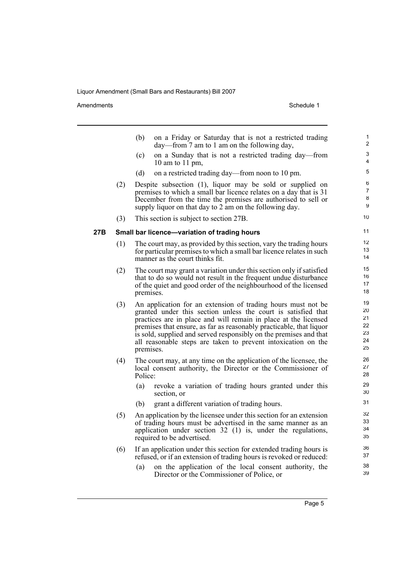Amendments Schedule 1

|     |     | (b)<br>on a Friday or Saturday that is not a restricted trading<br>day—from 7 am to 1 am on the following day,                                                                                                                                                                                                                                                                                                             | 1<br>2                                 |
|-----|-----|----------------------------------------------------------------------------------------------------------------------------------------------------------------------------------------------------------------------------------------------------------------------------------------------------------------------------------------------------------------------------------------------------------------------------|----------------------------------------|
|     |     | on a Sunday that is not a restricted trading day—from<br>(c)<br>10 am to 11 pm,                                                                                                                                                                                                                                                                                                                                            | 3<br>4                                 |
|     |     | (d)<br>on a restricted trading day—from noon to 10 pm.                                                                                                                                                                                                                                                                                                                                                                     | 5                                      |
|     | (2) | Despite subsection (1), liquor may be sold or supplied on<br>premises to which a small bar licence relates on a day that is 31<br>December from the time the premises are authorised to sell or<br>supply liquor on that day to 2 am on the following day.                                                                                                                                                                 | 6<br>$\overline{7}$<br>8<br>9          |
|     | (3) | This section is subject to section 27B.                                                                                                                                                                                                                                                                                                                                                                                    | 10                                     |
| 27B |     | Small bar licence-variation of trading hours                                                                                                                                                                                                                                                                                                                                                                               | 11                                     |
|     | (1) | The court may, as provided by this section, vary the trading hours<br>for particular premises to which a small bar licence relates in such<br>manner as the court thinks fit.                                                                                                                                                                                                                                              | 12<br>13<br>14                         |
|     | (2) | The court may grant a variation under this section only if satisfied<br>that to do so would not result in the frequent undue disturbance<br>of the quiet and good order of the neighbourhood of the licensed<br>premises.                                                                                                                                                                                                  | 15<br>16<br>17<br>18                   |
|     | (3) | An application for an extension of trading hours must not be<br>granted under this section unless the court is satisfied that<br>practices are in place and will remain in place at the licensed<br>premises that ensure, as far as reasonably practicable, that liquor<br>is sold, supplied and served responsibly on the premises and that<br>all reasonable steps are taken to prevent intoxication on the<br>premises. | 19<br>20<br>21<br>22<br>23<br>24<br>25 |
|     | (4) | The court may, at any time on the application of the licensee, the<br>local consent authority, the Director or the Commissioner of<br>Police:                                                                                                                                                                                                                                                                              | 26<br>27<br>28                         |
|     |     | (a)<br>revoke a variation of trading hours granted under this<br>section, or                                                                                                                                                                                                                                                                                                                                               | 29<br>30                               |
|     |     | grant a different variation of trading hours.<br>(b)                                                                                                                                                                                                                                                                                                                                                                       | 31                                     |
|     | (5) | An application by the licensee under this section for an extension<br>of trading hours must be advertised in the same manner as an<br>application under section $32$ (1) is, under the regulations,<br>required to be advertised.                                                                                                                                                                                          | 32<br>33<br>34<br>35                   |
|     | (6) | If an application under this section for extended trading hours is<br>refused, or if an extension of trading hours is revoked or reduced:                                                                                                                                                                                                                                                                                  | 36<br>37                               |
|     |     | on the application of the local consent authority, the<br>(a)<br>Director or the Commissioner of Police, or                                                                                                                                                                                                                                                                                                                | 38<br>39                               |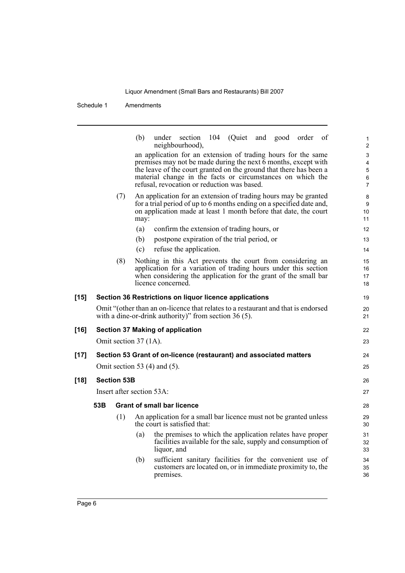Schedule 1 Amendments

|        |     |                           | (b)  | under section 104 (Quiet and good order of<br>neighbourhood),                                                                                |  | $\mathbf{1}$<br>$\overline{2}$ |
|--------|-----|---------------------------|------|----------------------------------------------------------------------------------------------------------------------------------------------|--|--------------------------------|
|        |     |                           |      | an application for an extension of trading hours for the same                                                                                |  | 3                              |
|        |     |                           |      | premises may not be made during the next 6 months, except with<br>the leave of the court granted on the ground that there has been a         |  | $\overline{4}$<br>$\mathbf 5$  |
|        |     |                           |      | material change in the facts or circumstances on which the                                                                                   |  | 6                              |
|        |     |                           |      | refusal, revocation or reduction was based.                                                                                                  |  | $\overline{7}$                 |
|        |     | (7)                       |      | An application for an extension of trading hours may be granted                                                                              |  | 8                              |
|        |     |                           |      | for a trial period of up to 6 months ending on a specified date and,                                                                         |  | 9                              |
|        |     |                           | may: | on application made at least 1 month before that date, the court                                                                             |  | 10<br>11                       |
|        |     |                           | (a)  | confirm the extension of trading hours, or                                                                                                   |  | 12                             |
|        |     |                           | (b)  | postpone expiration of the trial period, or                                                                                                  |  | 13                             |
|        |     |                           | (c)  | refuse the application.                                                                                                                      |  | 14                             |
|        |     | (8)                       |      | Nothing in this Act prevents the court from considering an                                                                                   |  | 15                             |
|        |     |                           |      | application for a variation of trading hours under this section                                                                              |  | 16                             |
|        |     |                           |      | when considering the application for the grant of the small bar                                                                              |  | 17                             |
|        |     |                           |      | licence concerned.                                                                                                                           |  | 18                             |
| $[15]$ |     |                           |      | Section 36 Restrictions on liquor licence applications                                                                                       |  | 19                             |
|        |     |                           |      | Omit "(other than an on-licence that relates to a restaurant and that is endorsed<br>with a dine-or-drink authority)" from section $36(5)$ . |  | 20<br>21                       |
| [16]   |     |                           |      | <b>Section 37 Making of application</b>                                                                                                      |  | 22                             |
|        |     | Omit section 37 (1A).     |      |                                                                                                                                              |  |                                |
|        |     |                           |      |                                                                                                                                              |  | 23                             |
| $[17]$ |     |                           |      | Section 53 Grant of on-licence (restaurant) and associated matters                                                                           |  | 24                             |
|        |     |                           |      | Omit section 53 $(4)$ and $(5)$ .                                                                                                            |  | 25                             |
| $[18]$ |     | <b>Section 53B</b>        |      |                                                                                                                                              |  | 26                             |
|        |     | Insert after section 53A: |      |                                                                                                                                              |  | 27                             |
|        | 53B |                           |      | <b>Grant of small bar licence</b>                                                                                                            |  | 28                             |
|        |     | (1)                       |      | An application for a small bar licence must not be granted unless<br>the court is satisfied that:                                            |  | 29<br>30                       |
|        |     |                           | (a)  | the premises to which the application relates have proper                                                                                    |  | 31                             |
|        |     |                           |      | facilities available for the sale, supply and consumption of                                                                                 |  | 32                             |
|        |     |                           |      | liquor, and                                                                                                                                  |  | 33                             |
|        |     |                           | (b)  | sufficient sanitary facilities for the convenient use of<br>customers are located on, or in immediate proximity to, the                      |  | 34                             |
|        |     |                           |      | premises.                                                                                                                                    |  | 35<br>36                       |
|        |     |                           |      |                                                                                                                                              |  |                                |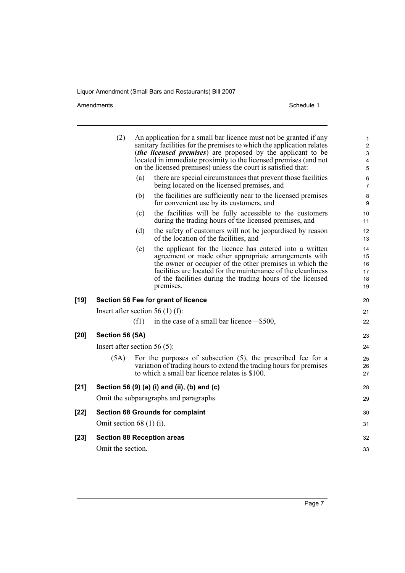#### Amendments Schedule 1

|        | (2)                              |      | An application for a small bar licence must not be granted if any<br>sanitary facilities for the premises to which the application relates<br><i>(the licensed premises)</i> are proposed by the applicant to be<br>located in immediate proximity to the licensed premises (and not<br>on the licensed premises) unless the court is satisfied that: | 1<br>$\overline{2}$<br>$\ensuremath{\mathsf{3}}$<br>$\overline{\mathbf{4}}$<br>$\sqrt{5}$ |
|--------|----------------------------------|------|-------------------------------------------------------------------------------------------------------------------------------------------------------------------------------------------------------------------------------------------------------------------------------------------------------------------------------------------------------|-------------------------------------------------------------------------------------------|
|        |                                  | (a)  | there are special circumstances that prevent those facilities<br>being located on the licensed premises, and                                                                                                                                                                                                                                          | 6<br>$\overline{7}$                                                                       |
|        |                                  | (b)  | the facilities are sufficiently near to the licensed premises<br>for convenient use by its customers, and                                                                                                                                                                                                                                             | 8<br>9                                                                                    |
|        |                                  | (c)  | the facilities will be fully accessible to the customers<br>during the trading hours of the licensed premises, and                                                                                                                                                                                                                                    | $10$<br>11                                                                                |
|        |                                  | (d)  | the safety of customers will not be jeopardised by reason<br>of the location of the facilities, and                                                                                                                                                                                                                                                   | 12<br>13                                                                                  |
|        |                                  | (e)  | the applicant for the licence has entered into a written<br>agreement or made other appropriate arrangements with<br>the owner or occupier of the other premises in which the<br>facilities are located for the maintenance of the cleanliness<br>of the facilities during the trading hours of the licensed<br>premises.                             | 14<br>15<br>16<br>17<br>18<br>19                                                          |
| [19]   |                                  |      | Section 56 Fee for grant of licence                                                                                                                                                                                                                                                                                                                   | 20                                                                                        |
|        | Insert after section 56 (1) (f): |      |                                                                                                                                                                                                                                                                                                                                                       | 21                                                                                        |
|        |                                  | (f1) | in the case of a small bar licence-\$500,                                                                                                                                                                                                                                                                                                             | 22                                                                                        |
| [20]   | Section 56 (5A)                  |      |                                                                                                                                                                                                                                                                                                                                                       | 23                                                                                        |
|        | Insert after section $56(5)$ :   |      |                                                                                                                                                                                                                                                                                                                                                       | 24                                                                                        |
|        | (5A)                             |      | For the purposes of subsection $(5)$ , the prescribed fee for a<br>variation of trading hours to extend the trading hours for premises<br>to which a small bar licence relates is \$100.                                                                                                                                                              | 25<br>26<br>27                                                                            |
| $[21]$ |                                  |      | Section 56 (9) (a) (i) and (ii), (b) and (c)                                                                                                                                                                                                                                                                                                          | 28                                                                                        |
|        |                                  |      | Omit the subparagraphs and paragraphs.                                                                                                                                                                                                                                                                                                                | 29                                                                                        |
| [22]   |                                  |      | <b>Section 68 Grounds for complaint</b>                                                                                                                                                                                                                                                                                                               | 30                                                                                        |
|        | Omit section $68(1)(i)$ .        |      |                                                                                                                                                                                                                                                                                                                                                       | 31                                                                                        |
| [23]   |                                  |      | <b>Section 88 Reception areas</b>                                                                                                                                                                                                                                                                                                                     | 32                                                                                        |
|        | Omit the section.                |      |                                                                                                                                                                                                                                                                                                                                                       | 33                                                                                        |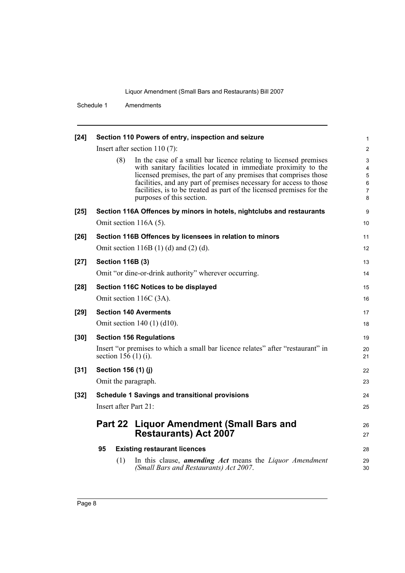Schedule 1 Amendments

| $[24]$ |                          | Section 110 Powers of entry, inspection and seizure                                                                                                                                                                                                                                                                                                                                | 1                          |
|--------|--------------------------|------------------------------------------------------------------------------------------------------------------------------------------------------------------------------------------------------------------------------------------------------------------------------------------------------------------------------------------------------------------------------------|----------------------------|
|        |                          | Insert after section $110(7)$ :                                                                                                                                                                                                                                                                                                                                                    | $\overline{c}$             |
|        | (8)                      | In the case of a small bar licence relating to licensed premises<br>with sanitary facilities located in immediate proximity to the<br>licensed premises, the part of any premises that comprises those<br>facilities, and any part of premises necessary for access to those<br>facilities, is to be treated as part of the licensed premises for the<br>purposes of this section. | 3<br>4<br>5<br>6<br>7<br>8 |
| $[25]$ |                          | Section 116A Offences by minors in hotels, nightclubs and restaurants                                                                                                                                                                                                                                                                                                              | 9                          |
|        |                          | Omit section 116A (5).                                                                                                                                                                                                                                                                                                                                                             | 10                         |
| $[26]$ |                          | Section 116B Offences by licensees in relation to minors                                                                                                                                                                                                                                                                                                                           | 11                         |
|        |                          | Omit section 116B $(1)$ $(d)$ and $(2)$ $(d)$ .                                                                                                                                                                                                                                                                                                                                    | 12                         |
| $[27]$ | <b>Section 116B (3)</b>  |                                                                                                                                                                                                                                                                                                                                                                                    | 13                         |
|        |                          | Omit "or dine-or-drink authority" wherever occurring.                                                                                                                                                                                                                                                                                                                              | 14                         |
| $[28]$ |                          | Section 116C Notices to be displayed                                                                                                                                                                                                                                                                                                                                               | 15                         |
|        |                          | Omit section 116C (3A).                                                                                                                                                                                                                                                                                                                                                            | 16                         |
| $[29]$ |                          | <b>Section 140 Averments</b>                                                                                                                                                                                                                                                                                                                                                       | 17                         |
|        |                          | Omit section 140 (1) (d10).                                                                                                                                                                                                                                                                                                                                                        | 18                         |
| $[30]$ |                          | <b>Section 156 Regulations</b>                                                                                                                                                                                                                                                                                                                                                     | 19                         |
|        | section $156(1)(i)$ .    | Insert "or premises to which a small bar licence relates" after "restaurant" in                                                                                                                                                                                                                                                                                                    | 20<br>21                   |
| $[31]$ | Section 156 (1) (j)      |                                                                                                                                                                                                                                                                                                                                                                                    | 22                         |
|        | Omit the paragraph.      |                                                                                                                                                                                                                                                                                                                                                                                    | 23                         |
| $[32]$ |                          | <b>Schedule 1 Savings and transitional provisions</b>                                                                                                                                                                                                                                                                                                                              | 24                         |
|        | Insert after Part $21$ : |                                                                                                                                                                                                                                                                                                                                                                                    | 25                         |
|        |                          | Part 22 Liquor Amendment (Small Bars and<br><b>Restaurants) Act 2007</b>                                                                                                                                                                                                                                                                                                           | 26<br>27                   |
|        | 95                       | <b>Existing restaurant licences</b>                                                                                                                                                                                                                                                                                                                                                | 28                         |
|        | (1)                      | In this clause, <b>amending Act</b> means the Liquor Amendment<br>(Small Bars and Restaurants) Act 2007.                                                                                                                                                                                                                                                                           | 29<br>30                   |
|        |                          |                                                                                                                                                                                                                                                                                                                                                                                    |                            |